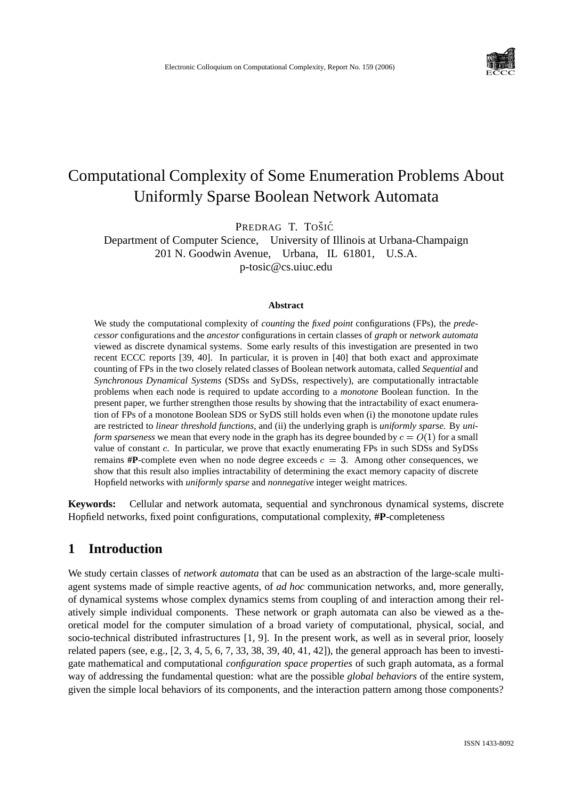

# Computational Complexity of Some Enumeration Problems About Uniformly Sparse Boolean Network Automata

PREDRAG T. TOŠIĆ

Department of Computer Science, University of Illinois at Urbana-Champaign 201 N. Goodwin Avenue, Urbana, IL 61801, U.S.A. p-tosic@cs.uiuc.edu

#### **Abstract**

We study the computational complexity of *counting* the *fixed point* configurations (FPs), the *predecessor* configurations and the *ancestor* configurations in certain classes of *graph* or *network automata* viewed as discrete dynamical systems. Some early results of this investigation are presented in two recent ECCC reports [39, 40]. In particular, it is proven in [40] that both exact and approximate counting of FPs in the two closely related classes of Boolean network automata, called *Sequential* and *Synchronous Dynamical Systems* (SDSs and SyDSs, respectively), are computationally intractable problems when each node is required to update according to a *monotone* Boolean function. In the present paper, we further strengthen those results by showing that the intractability of exact enumeration of FPs of a monotone Boolean SDS or SyDS still holds even when (i) the monotone update rules are restricted to *linear threshold functions*, and (ii) the underlying graph is *uniformly sparse.* By *uniform sparseness* we mean that every node in the graph has its degree bounded by  $c = O(1)$  for a small value of constant c. In particular, we prove that exactly enumerating FPs in such SDSs and SyDSs remains  $\#P$ -complete even when no node degree exceeds  $c = 3$ . Among other consequences, we show that this result also implies intractability of determining the exact memory capacity of discrete Hopfield networks with *uniformly sparse* and *nonnegative* integer weight matrices.

**Keywords:** Cellular and network automata, sequential and synchronous dynamical systems, discrete Hopfield networks, fixed point configurations, computational complexity, **#P**-completeness

# **1 Introduction**

We study certain classes of *network automata* that can be used as an abstraction of the large-scale multiagent systems made of simple reactive agents, of *ad hoc* communication networks, and, more generally, of dynamical systems whose complex dynamics stems from coupling of and interaction among their relatively simple individual components. These network or graph automata can also be viewed as a theoretical model for the computer simulation of a broad variety of computational, physical, social, and socio-technical distributed infrastructures [1, 9]. In the present work, as well as in several prior, loosely related papers (see, e.g.,  $[2, 3, 4, 5, 6, 7, 33, 38, 39, 40, 41, 42]$ ), the general approach has been to investigate mathematical and computational *configuration space properties* of such graph automata, as a formal way of addressing the fundamental question: what are the possible *global behaviors* of the entire system, given the simple local behaviors of its components, and the interaction pattern among those components?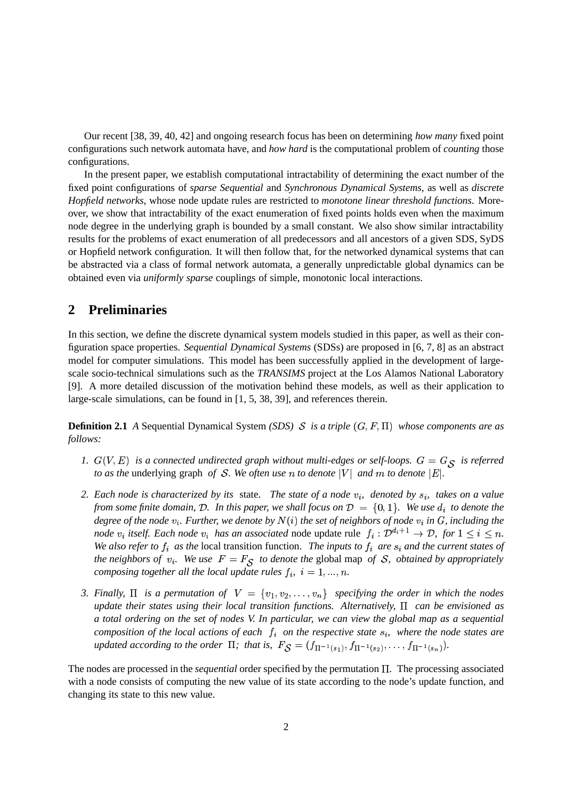Our recent [38, 39, 40, 42] and ongoing research focus has been on determining *how many* fixed point configurations such network automata have, and *how hard* is the computational problem of *counting* those configurations.

In the present paper, we establish computational intractability of determining the exact number of the fixed point configurations of *sparse Sequential* and *Synchronous Dynamical Systems*, as well as *discrete Hopfield networks*, whose node update rules are restricted to *monotone linear threshold functions*. Moreover, we show that intractability of the exact enumeration of fixed points holds even when the maximum node degree in the underlying graph is bounded by a small constant. We also show similar intractability results for the problems of exact enumeration of all predecessors and all ancestors of a given SDS, SyDS or Hopfield network configuration. It will then follow that, for the networked dynamical systems that can be abstracted via a class of formal network automata, a generally unpredictable global dynamics can be obtained even via *uniformly sparse* couplings of simple, monotonic local interactions.

# **2 Preliminaries**

In this section, we define the discrete dynamical system models studied in this paper, as well as their configuration space properties. *Sequential Dynamical Systems* (SDSs) are proposed in [6, 7, 8] as an abstract model for computer simulations. This model has been successfully applied in the development of largescale socio-technical simulations such as the *TRANSIMS* project at the Los Alamos National Laboratory [9]. A more detailed discussion of the motivation behind these models, as well as their application to large-scale simulations, can be found in [1, 5, 38, 39], and references therein.

**Definition 2.1** *A* Sequential Dynamical System *(SDS) S* is a triple  $(G, F, \Pi)$  whose components are as *follows:*

- 1.  $G(V, E)$  is a connected undirected graph without multi-edges or self-loops.  $G = G_{\mathcal{S}}$  is referred *to as the* underlying graph *of S. We often use n to denote*  $|V|$  *and m to denote*  $|E|$ .
- 2. Each node is characterized by its state. The state of a node  $v_i$ , denoted by  $s_i$ , takes on a value *from some finite domain, D. In this paper, we shall focus on*  $D = \{0, 1\}$ . We use  $d_i$  to denote the degree of the node  $v_i$ . Further, we denote by  $N(i)$  the set of neighbors of node  $v_i$  in  $G$ , including the *node*  $v_i$  *itself.* Each node  $v_i$  has an associated node update rule  $f_i : \mathcal{D}^{d_i+1} \to \mathcal{D}$ , for  $1 \leq i \leq n$ . *. We also refer to*  $f_i$  *as the* local transition function. *The inputs to*  $f_i$  *are*  $s_i$  *and the current states of the neighbors of*  $v_i$ . We use  $F = F_S$  to denote the global map of S, obtained by appropriately *composing together all the local update rules*  $f_i$ ,  $i = 1, ..., n$ . *.*
- 3. Finally,  $\Pi$  is a permutation of  $V = \{v_1, v_2, \ldots, v_n\}$  specifying the order in which the nodes *update their states using their local transition functions. Alternatively, can be envisioned as a total ordering on the set of nodes V. In particular, we can view the global map as a sequential composition of the local actions of each*  $f_i$  *on the respective state*  $s_i$ *, where the node states are updated according to the order*  $\Pi$ ; that is,  $F_{\mathcal{S}} = (f_{\Pi^{-1}(s_1)}, f_{\Pi^{-1}(s_2)}, \ldots, f_{\Pi^{-1}(s_n)})$ .

The nodes are processed in the *sequential* order specified by the permutation  $\Pi$ . The processing associated with a node consists of computing the new value of its state according to the node's update function, and changing its state to this new value.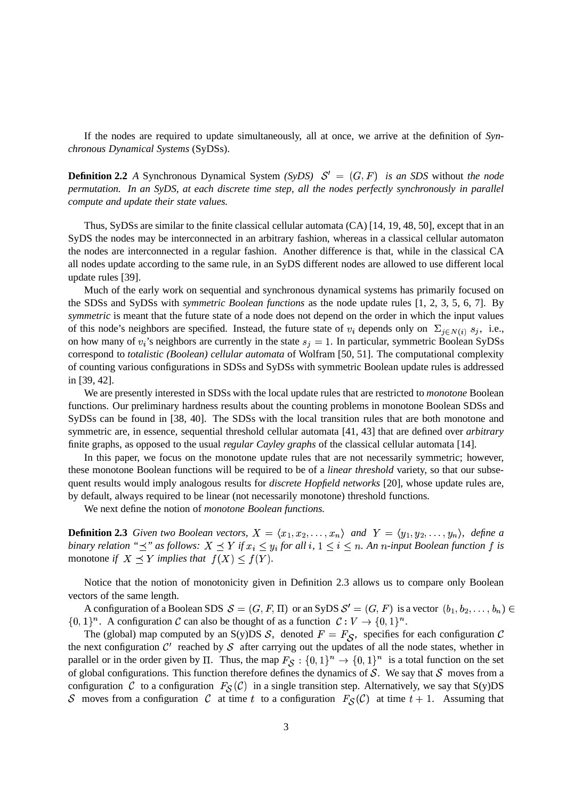If the nodes are required to update simultaneously, all at once, we arrive at the definition of *Synchronous Dynamical Systems* (SyDSs).

**Definition 2.2** *A* Synchronous Dynamical System *(SyDS)*  $S' = (G, F)$  *is an SDS* without *the node permutation. In an SyDS, at each discrete time step, all the nodes perfectly synchronously in parallel compute and update their state values.*

Thus, SyDSs are similar to the finite classical cellular automata (CA) [14, 19, 48, 50], except that in an SyDS the nodes may be interconnected in an arbitrary fashion, whereas in a classical cellular automaton the nodes are interconnected in a regular fashion. Another difference is that, while in the classical CA all nodes update according to the same rule, in an SyDS different nodes are allowed to use different local update rules [39].

Much of the early work on sequential and synchronous dynamical systems has primarily focused on the SDSs and SyDSs with *symmetric Boolean functions* as the node update rules [1, 2, 3, 5, 6, 7]. By *symmetric* is meant that the future state of a node does not depend on the order in which the input values of this node's neighbors are specified. Instead, the future state of  $v_i$  depends only on  $\Sigma_{i \in N(i)} s_j$ , i.e.,  $i$ , i.e., on how many of  $v_i$ 's neighbors are currently in the state  $s_i = 1$ . In particular, symmetric Boolean SyDSs correspond to *totalistic (Boolean) cellular automata* of Wolfram [50, 51]. The computational complexity of counting various configurations in SDSs and SyDSs with symmetric Boolean update rules is addressed in [39, 42].

We are presently interested in SDSs with the local update rules that are restricted to *monotone* Boolean functions. Our preliminary hardness results about the counting problems in monotone Boolean SDSs and SyDSs can be found in [38, 40]. The SDSs with the local transition rules that are both monotone and symmetric are, in essence, sequential threshold cellular automata [41, 43] that are defined over *arbitrary* finite graphs, as opposed to the usual *regular Cayley graphs* of the classical cellular automata [14].

In this paper, we focus on the monotone update rules that are not necessarily symmetric; however, these monotone Boolean functions will be required to be of a *linear threshold* variety, so that our subsequent results would imply analogous results for *discrete Hopfield networks* [20], whose update rules are, by default, always required to be linear (not necessarily monotone) threshold functions.

We next define the notion of *monotone Boolean functions.*

**Definition 2.3** *Given two Boolean vectors,*  $X = \langle x_1, x_2, \ldots, x_n \rangle$  and  $Y = \langle y_1, y_2, \ldots, y_n \rangle$ , *define a* binary relation " $\preceq$ " as follows:  $X \preceq Y$  if  $x_i \leq y_i$  for all  $i, 1 \leq i \leq n$ . An n-input Boolean function f is monotone *if*  $X \prec Y$  *implies that*  $f(X) \leq f(Y)$ *.* 

Notice that the notion of monotonicity given in Definition 2.3 allows us to compare only Boolean vectors of the same length.

A configuration of a Boolean SDS  $S = (G, F, \Pi)$  or an SyDS  $S' = (G, F)$  is a vector  $(b_1, b_2, \ldots, b_n) \in$  $\{0,1\}^n$ . A configuration C can also be thought of as a function  $\mathcal{C}: V \to \{0,1\}^n$ .

The (global) map computed by an S(y)DS  $S$ , denoted  $F = F_S$ , specifies for each configuration  $C$ the next configuration  $C'$  reached by  $S$  after carrying out the updates of all the node states, whether in parallel or in the order given by  $\Pi$ . Thus, the map  $F_S: \{0,1\}^n \to \{0,1\}^n$  is a total function on the set of global configurations. This function therefore defines the dynamics of  $S$ . We say that  $S$  moves from a configuration C to a configuration  $F_S(\mathcal{C})$  in a single transition step. Alternatively, we say that S(y)DS S moves from a configuration C at time t to a configuration  $F_S(\mathcal{C})$  at time  $t + 1$ . Assuming that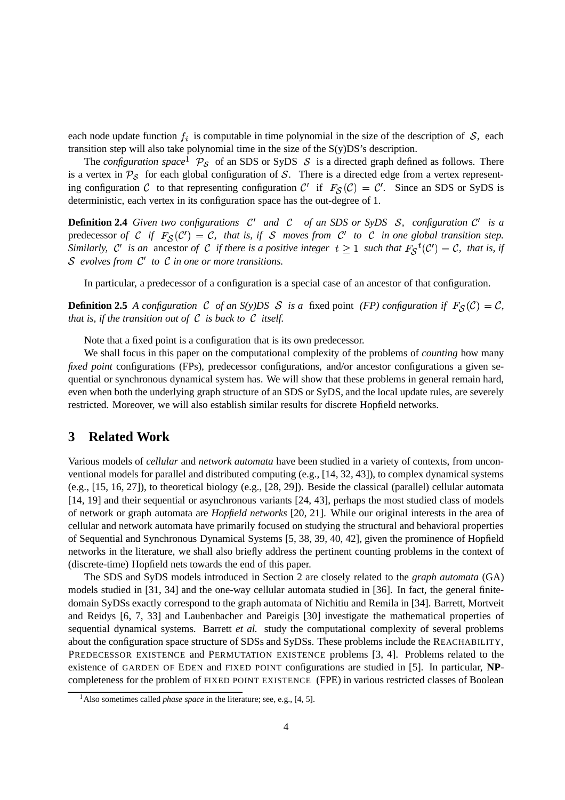each node update function  $f_i$  is computable in time polynomial in the size of the description of  $S$ , each transition step will also take polynomial time in the size of the S(y)DS's description.

The *configuration space* <sup>1</sup>  $P_S$  of an SDS or SyDS S is a directed graph defined as follows. There is a vertex in  $P_S$  for each global configuration of S. There is a directed edge from a vertex representing configuration C to that representing configuration C' if  $F_S(\mathcal{C}) = \mathcal{C}'$ . Since an SDS or SyDS is deterministic, each vertex in its configuration space has the out-degree of 1.

**Definition 2.4** Given two configurations  $C'$  and  $C'$  of an SDS or SyDS  $S$ , configuration  $C'$  is a predecessor *of* C if  $F_S(\mathcal{C}') = \mathcal{C}$ , that is, if S moves from  $\mathcal{C}'$  to C in one global transition step. *Similarly,*  $C'$  *is an* ancestor of C *if there is a positive integer*  $t \ge 1$  *such that*  $F_S^{-t}(C') = C$ *, that is, if evolves from to in one or more transitions.*

In particular, a predecessor of a configuration is a special case of an ancestor of that configuration.

**Definition 2.5** *A configuration C of an S(y)DS S is a* fixed point *(FP) configuration if*  $F_S(\mathcal{C}) = \mathcal{C}$ , *that is, if the transition out of*  $C$  *is back to*  $C$  *itself.* 

Note that a fixed point is a configuration that is its own predecessor.

We shall focus in this paper on the computational complexity of the problems of *counting* how many *fixed point* configurations (FPs), predecessor configurations, and/or ancestor configurations a given sequential or synchronous dynamical system has. We will show that these problems in general remain hard, even when both the underlying graph structure of an SDS or SyDS, and the local update rules, are severely restricted. Moreover, we will also establish similar results for discrete Hopfield networks.

### **3 Related Work**

Various models of *cellular* and *network automata* have been studied in a variety of contexts, from unconventional models for parallel and distributed computing (e.g., [14, 32, 43]), to complex dynamical systems (e.g., [15, 16, 27]), to theoretical biology (e.g., [28, 29]). Beside the classical (parallel) cellular automata [14, 19] and their sequential or asynchronous variants [24, 43], perhaps the most studied class of models of network or graph automata are *Hopfield networks* [20, 21]. While our original interests in the area of cellular and network automata have primarily focused on studying the structural and behavioral properties of Sequential and Synchronous Dynamical Systems [5, 38, 39, 40, 42], given the prominence of Hopfield networks in the literature, we shall also briefly address the pertinent counting problems in the context of (discrete-time) Hopfield nets towards the end of this paper.

The SDS and SyDS models introduced in Section 2 are closely related to the *graph automata* (GA) models studied in [31, 34] and the one-way cellular automata studied in [36]. In fact, the general finitedomain SyDSs exactly correspond to the graph automata of Nichitiu and Remila in [34]. Barrett, Mortveit and Reidys [6, 7, 33] and Laubenbacher and Pareigis [30] investigate the mathematical properties of sequential dynamical systems. Barrett *et al.* study the computational complexity of several problems about the configuration space structure of SDSs and SyDSs. These problems include the REACHABILITY, PREDECESSOR EXISTENCE and PERMUTATION EXISTENCE problems [3, 4]. Problems related to the existence of GARDEN OF EDEN and FIXED POINT configurations are studied in [5]. In particular, **NP**completeness for the problem of FIXED POINT EXISTENCE (FPE) in various restricted classes of Boolean

<sup>&</sup>lt;sup>1</sup> Also sometimes called *phase space* in the literature; see, e.g., [4, 5].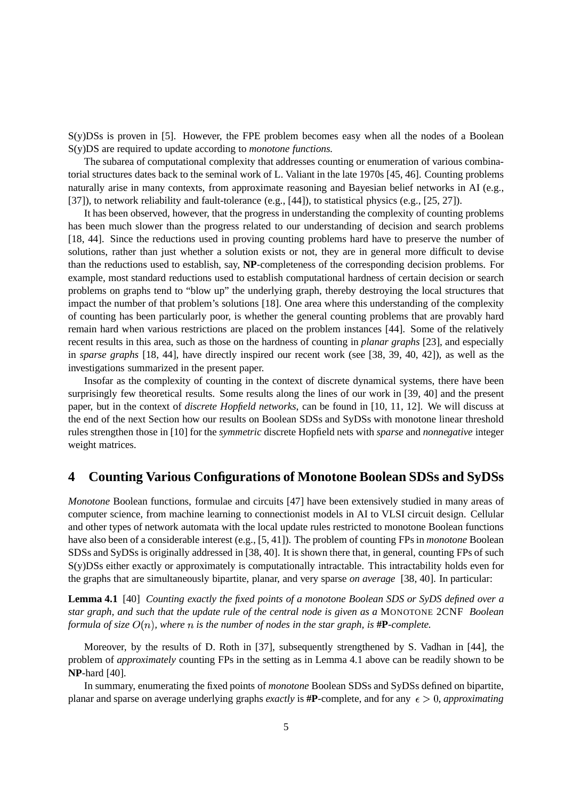S(y)DSs is proven in [5]. However, the FPE problem becomes easy when all the nodes of a Boolean S(y)DS are required to update according to *monotone functions.*

The subarea of computational complexity that addresses counting or enumeration of various combinatorial structures dates back to the seminal work of L. Valiant in the late 1970s [45, 46]. Counting problems naturally arise in many contexts, from approximate reasoning and Bayesian belief networks in AI (e.g., [37]), to network reliability and fault-tolerance (e.g., [44]), to statistical physics (e.g., [25, 27]).

It has been observed, however, that the progress in understanding the complexity of counting problems has been much slower than the progress related to our understanding of decision and search problems [18, 44]. Since the reductions used in proving counting problems hard have to preserve the number of solutions, rather than just whether a solution exists or not, they are in general more difficult to devise than the reductions used to establish, say, **NP**-completeness of the corresponding decision problems. For example, most standard reductions used to establish computational hardness of certain decision or search problems on graphs tend to "blow up" the underlying graph, thereby destroying the local structures that impact the number of that problem's solutions [18]. One area where this understanding of the complexity of counting has been particularly poor, is whether the general counting problems that are provably hard remain hard when various restrictions are placed on the problem instances [44]. Some of the relatively recent results in this area, such as those on the hardness of counting in *planar graphs* [23], and especially in *sparse graphs* [18, 44], have directly inspired our recent work (see [38, 39, 40, 42]), as well as the investigations summarized in the present paper.

Insofar as the complexity of counting in the context of discrete dynamical systems, there have been surprisingly few theoretical results. Some results along the lines of our work in [39, 40] and the present paper, but in the context of *discrete Hopfield networks*, can be found in [10, 11, 12]. We will discuss at the end of the next Section how our results on Boolean SDSs and SyDSs with monotone linear threshold rules strengthen those in [10] for the *symmetric* discrete Hopfield nets with *sparse* and *nonnegative* integer weight matrices.

# **4 Counting Various Configurations of Monotone Boolean SDSs and SyDSs**

*Monotone* Boolean functions, formulae and circuits [47] have been extensively studied in many areas of computer science, from machine learning to connectionist models in AI to VLSI circuit design. Cellular and other types of network automata with the local update rules restricted to monotone Boolean functions have also been of a considerable interest (e.g., [5, 41]). The problem of counting FPs in *monotone* Boolean SDSs and SyDSs is originally addressed in [38, 40]. It is shown there that, in general, counting FPs of such S(y)DSs either exactly or approximately is computationally intractable. This intractability holds even for the graphs that are simultaneously bipartite, planar, and very sparse *on average* [38, 40]. In particular:

**Lemma 4.1** [40] *Counting exactly the fixed points of a monotone Boolean SDS or SyDS defined over a star graph, and such that the update rule of the central node is given as a* MONOTONE 2CNF *Boolean* formula of size  $O(n)$ , where  $n$  is the number of nodes in the star graph, is  $\# \mathbf{P}$ *-complete.* 

Moreover, by the results of D. Roth in [37], subsequently strengthened by S. Vadhan in [44], the problem of *approximately* counting FPs in the setting as in Lemma 4.1 above can be readily shown to be **NP**-hard [40].

In summary, enumerating the fixed points of *monotone* Boolean SDSs and SyDSs defined on bipartite, planar and sparse on average underlying graphs *exactly* is  $\#P$ -complete, and for any  $\epsilon > 0$ , *approximating*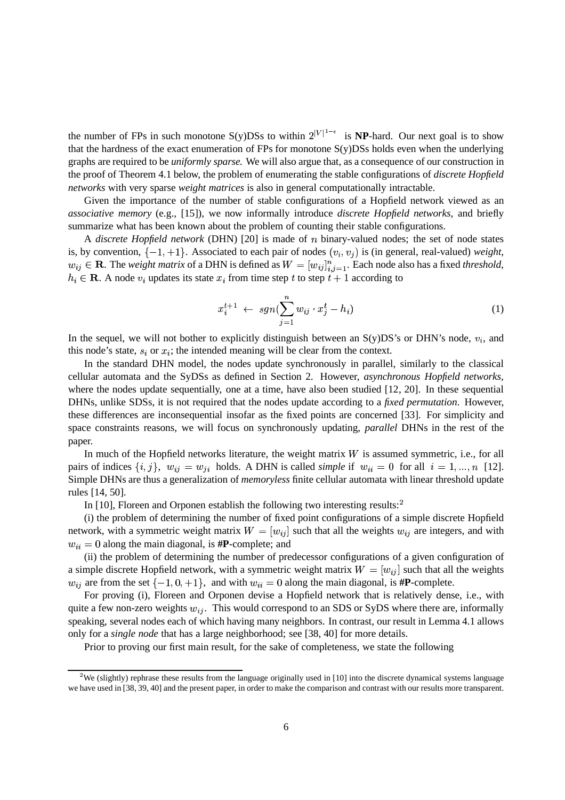the number of FPs in such monotone S(y)DSs to within  $2^{|V|^{1-\epsilon}}$  is **NP**-hard. Our next goal is to show that the hardness of the exact enumeration of FPs for monotone S(y)DSs holds even when the underlying graphs are required to be *uniformly sparse.* We will also argue that, as a consequence of our construction in the proof of Theorem 4.1 below, the problem of enumerating the stable configurations of *discrete Hopfield networks* with very sparse *weight matrices* is also in general computationally intractable.

Given the importance of the number of stable configurations of a Hopfield network viewed as an *associative memory* (e.g., [15]), we now informally introduce *discrete Hopfield networks*, and briefly summarize what has been known about the problem of counting their stable configurations.

A *discrete Hopfield network* (DHN) [20] is made of *n* binary-valued nodes; the set of node states is, by convention,  $\{-1, +1\}$ . Associated to each pair of nodes  $(v_i, v_j)$  is (in general, real-valued) *weight*,  $w_{ij} \in \mathbf{R}$ . The *weight matrix* of a DHN is defined as  $W = [w_{ij}]_{i,j=1}^n$ . Each  $_{i=1}$ . Each node also has a fixed *threshold*,  $h_i \in \mathbf{R}$ . A node  $v_i$  updates its state  $x_i$  from time step t to step  $t + 1$  according to

$$
x_i^{t+1} \leftarrow sgn(\sum_{j=1}^n w_{ij} \cdot x_j^t - h_i)
$$
\n<sup>(1)</sup>

In the sequel, we will not bother to explicitly distinguish between an  $S(y)DS's$  or DHN's node,  $v_i$ , and this node's state,  $s_i$  or  $x_i$ ; the intended meaning will be clear from the context.

In the standard DHN model, the nodes update synchronously in parallel, similarly to the classical cellular automata and the SyDSs as defined in Section 2. However, *asynchronous Hopfield networks,* where the nodes update sequentially, one at a time, have also been studied [12, 20]. In these sequential DHNs, unlike SDSs, it is not required that the nodes update according to a *fixed permutation*. However, these differences are inconsequential insofar as the fixed points are concerned [33]. For simplicity and space constraints reasons, we will focus on synchronously updating, *parallel* DHNs in the rest of the paper.

In much of the Hopfield networks literature, the weight matrix  $W$  is assumed symmetric, i.e., for all pairs of indices  $\{i, j\}$ ,  $w_{ij} = w_{ji}$  holds. A DHN is called *simple* if  $w_{ii} = 0$  for all  $i = 1, ..., n$  [12]. Simple DHNs are thus a generalization of *memoryless* finite cellular automata with linear threshold update rules [14, 50].

In  $[10]$ , Floreen and Orponen establish the following two interesting results:<sup>2</sup>

(i) the problem of determining the number of fixed point configurations of a simple discrete Hopfield network, with a symmetric weight matrix  $W = [w_{ij}]$  such that all the weights  $w_{ij}$  are integers, and with  $w_{ii} = 0$  along the main diagonal, is  $\textbf{\#P}$ -complete; and

(ii) the problem of determining the number of predecessor configurations of a given configuration of a simple discrete Hopfield network, with a symmetric weight matrix  $W = [w_{ij}]$  such that all the weights  $w_{ij}$  are from the set  $\{-1, 0, +1\}$ , and with  $w_{ii} = 0$  along the main diagonal, is #**P**-complete.

For proving (i), Floreen and Orponen devise a Hopfield network that is relatively dense, i.e., with quite a few non-zero weights  $w_{ij}$ . This would correspond to an SDS or SyDS where there are, informally speaking, several nodes each of which having many neighbors. In contrast, our result in Lemma 4.1 allows only for a *single node* that has a large neighborhood; see [38, 40] for more details.

Prior to proving our first main result, for the sake of completeness, we state the following

<sup>&</sup>lt;sup>2</sup>We (slightly) rephrase these results from the language originally used in [10] into the discrete dynamical systems language we have used in [38, 39, 40] and the present paper, in order to make the comparison and contrast with our results more transparent.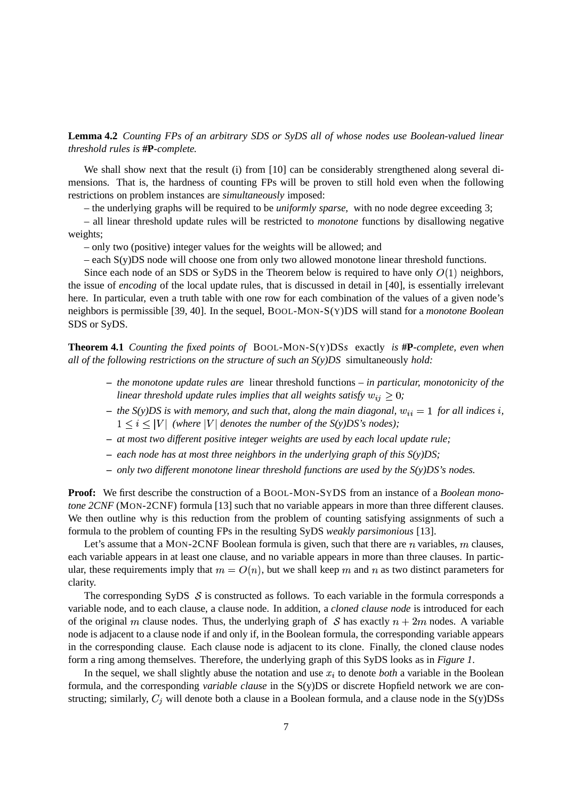**Lemma 4.2** *Counting FPs of an arbitrary SDS or SyDS all of whose nodes use Boolean-valued linear threshold rules is* **#P***-complete.*

We shall show next that the result (i) from [10] can be considerably strengthened along several dimensions. That is, the hardness of counting FPs will be proven to still hold even when the following restrictions on problem instances are *simultaneously* imposed:

– the underlying graphs will be required to be *uniformly sparse,* with no node degree exceeding 3;

– all linear threshold update rules will be restricted to *monotone* functions by disallowing negative weights;

– only two (positive) integer values for the weights will be allowed; and

– each S(y)DS node will choose one from only two allowed monotone linear threshold functions.

Since each node of an SDS or SyDS in the Theorem below is required to have only  $O(1)$  neighbors, the issue of *encoding* of the local update rules, that is discussed in detail in [40], is essentially irrelevant here. In particular, even a truth table with one row for each combination of the values of a given node's neighbors is permissible [39, 40]. In the sequel, BOOL-MON-S(Y)DS will stand for a *monotone Boolean* SDS or SyDS.

**Theorem 4.1** *Counting the fixed points of* BOOL-MON-S(Y)DS*s* exactly *is* **#P***-complete, even when all of the following restrictions on the structure of such an S(y)DS* simultaneously *hold:*

- **–** *the monotone update rules are* linear threshold functions  *in particular, monotonicity of the* linear threshold update rules implies that all weights satisfy  $w_{ij} \geq 0$ ;
- $-$  the S(y)DS is with memory, and such that, along the main diagonal,  $w_{ii} = 1$  for all indices i,  $1 \leq i \leq |V|$  (where  $|V|$  denotes the number of the S(y)DS's nodes);
- **–** *at most two different positive integer weights are used by each local update rule;*
- **–** *each node has at most three neighbors in the underlying graph of this S(y)DS;*
- **–** *only two different monotone linear threshold functions are used by the S(y)DS's nodes.*

**Proof:** We first describe the construction of a BOOL-MON-SYDS from an instance of a *Boolean monotone 2CNF* (MON-2CNF) formula [13] such that no variable appears in more than three different clauses. We then outline why is this reduction from the problem of counting satisfying assignments of such a formula to the problem of counting FPs in the resulting SyDS *weakly parsimonious* [13].

Let's assume that a MON-2CNF Boolean formula is given, such that there are  $n$  variables,  $m$  clauses, each variable appears in at least one clause, and no variable appears in more than three clauses. In particular, these requirements imply that  $m = O(n)$ , but we shall keep m and n as two distinct parameters for clarity.

The corresponding SyDS  $\mathcal S$  is constructed as follows. To each variable in the formula corresponds a variable node, and to each clause, a clause node. In addition, a *cloned clause node* is introduced for each of the original m clause nodes. Thus, the underlying graph of S has exactly  $n + 2m$  nodes. A variable node is adjacent to a clause node if and only if, in the Boolean formula, the corresponding variable appears in the corresponding clause. Each clause node is adjacent to its clone. Finally, the cloned clause nodes form a ring among themselves. Therefore, the underlying graph of this SyDS looks as in *Figure 1*.

In the sequel, we shall slightly abuse the notation and use  $x_i$  to denote *both* a variable in the Boolean formula, and the corresponding *variable clause* in the S(y)DS or discrete Hopfield network we are constructing; similarly,  $C_i$  will denote both a clause in a Boolean formula, and a clause node in the S(y)DSs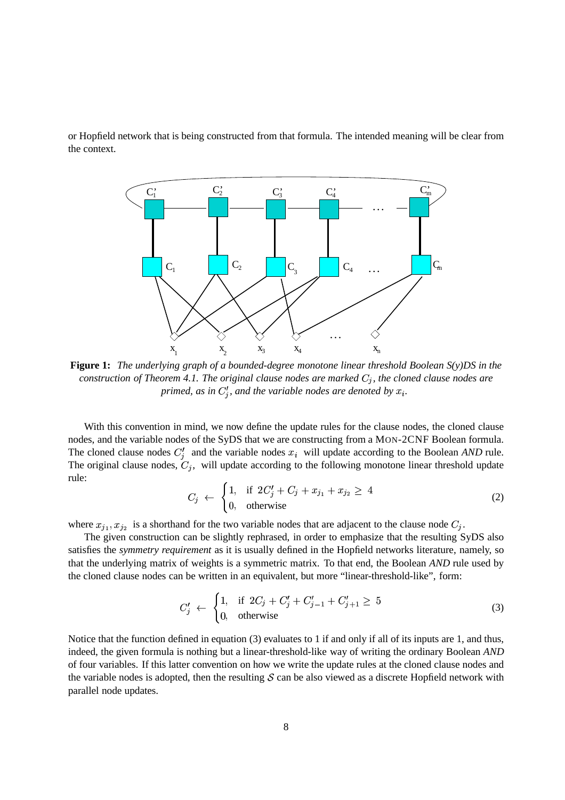or Hopfield network that is being constructed from that formula. The intended meaning will be clear from the context.



**Figure 1:** *The underlying graph of a bounded-degree monotone linear threshold Boolean S(y)DS in the construction of Theorem 4.1. The original clause nodes are marked*  $C_i$ , the cloned clause nodes are *primed, as in*  $C_i'$ *, and the variable nodes are denoted by*  $x_i$ *.* 

With this convention in mind, we now define the update rules for the clause nodes, the cloned clause nodes, and the variable nodes of the SyDS that we are constructing from a MON-2CNF Boolean formula. The cloned clause nodes  $C_i'$  and the variable nodes  $x_i$  will update according to the Boolean *AND* rule. The original clause nodes,  $C_i$ , will update according to the following monotone linear threshold update rule: 

$$
C_j \leftarrow \begin{cases} 1, & \text{if } 2C'_j + C_j + x_{j_1} + x_{j_2} \ge 4 \\ 0, & \text{otherwise} \end{cases} \tag{2}
$$

where  $x_{j_1}, x_{j_2}$  $x_1, x_{j_2}$  is a shorthand for the two variable nodes that are adjacent to the clause node  $C_j$ .

The given construction can be slightly rephrased, in order to emphasize that the resulting SyDS also satisfies the *symmetry requirement* as it is usually defined in the Hopfield networks literature, namely, so that the underlying matrix of weights is a symmetric matrix. To that end, the Boolean *AND* rule used by the cloned clause nodes can be written in an equivalent, but more "linear-threshold-like", form:

$$
C'_{j} \leftarrow \begin{cases} 1, & \text{if } 2C_{j} + C'_{j} + C'_{j-1} + C'_{j+1} \ge 5\\ 0, & \text{otherwise} \end{cases} \tag{3}
$$

Notice that the function defined in equation (3) evaluates to 1 if and only if all of its inputs are 1, and thus, indeed, the given formula is nothing but a linear-threshold-like way of writing the ordinary Boolean *AND* of four variables. If this latter convention on how we write the update rules at the cloned clause nodes and the variable nodes is adopted, then the resulting  $S$  can be also viewed as a discrete Hopfield network with parallel node updates.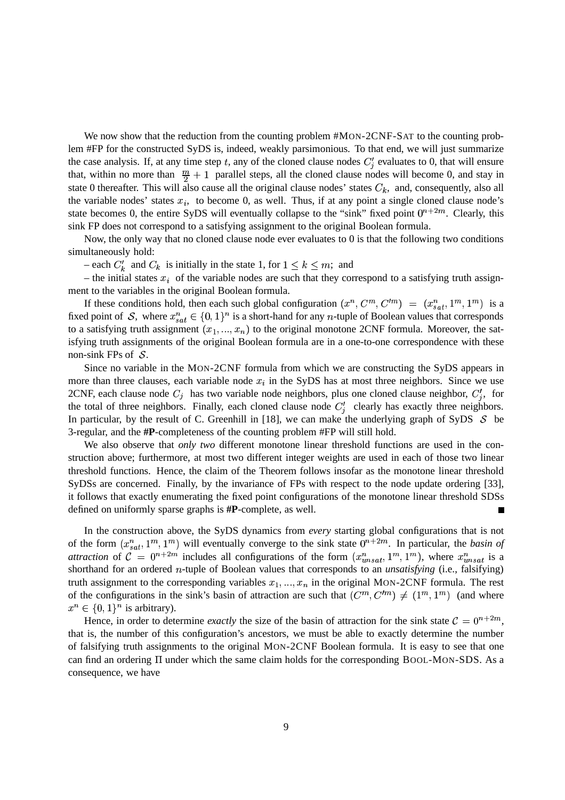We now show that the reduction from the counting problem #MON-2CNF-SAT to the counting problem #FP for the constructed SyDS is, indeed, weakly parsimonious. To that end, we will just summarize the case analysis. If, at any time step t, any of the cloned clause nodes  $C_i'$  evaluates to 0, that will ensure that, within no more than  $\frac{m}{2} + 1$  parallel steps, all the cloned clause nodes will become 0, and stay in state 0 thereafter. This will also cause all the original clause nodes' states  $C_k$ , and, consequently, also all the variable nodes' states  $x_i$ , to become 0, as well. Thus, if at any point a single cloned clause node's state becomes 0, the entire SyDS will eventually collapse to the "sink" fixed point  $0^{n+2m}$ . Clearly, this sink FP does not correspond to a satisfying assignment to the original Boolean formula.

Now, the only way that no cloned clause node ever evaluates to 0 is that the following two conditions simultaneously hold:

 $-$  each  $C'_{k}$  and  $C_{k}$  is initially in the state 1, for  $1 \leq k \leq m$ ; and

– the initial states  $x_i$  of the variable nodes are such that they correspond to a satisfying truth assignment to the variables in the original Boolean formula.

If these conditions hold, then each such global configuration  $(x^n, C^m, C^m) = (x^n_{sat}, 1^m, 1^m)$  is a fixed point of S, where  $x_{sat}^n \in \{0,1\}^n$  is a short-hand for any *n*-tuple of Boolean values that corresponds to a satisfying truth assignment  $(x_1, ..., x_n)$  to the original monotone 2CNF formula. Moreover, the sat isfying truth assignments of the original Boolean formula are in a one-to-one correspondence with these non-sink FPs of  $\mathcal{S}$ .

Since no variable in the MON-2CNF formula from which we are constructing the SyDS appears in more than three clauses, each variable node  $x_i$  in the SyDS has at most three neighbors. Since we use 2CNF, each clause node  $C_i$  has two variable node neighbors, plus one cloned clause neighbor,  $C_i'$ , for the total of three neighbors. Finally, each cloned clause node  $C_i'$  clearly has exactly three neighbors. In particular, by the result of C. Greenhill in [18], we can make the underlying graph of SyDS  $S$  be 3-regular, and the **#P**-completeness of the counting problem #FP will still hold.

We also observe that *only two* different monotone linear threshold functions are used in the construction above; furthermore, at most two different integer weights are used in each of those two linear threshold functions. Hence, the claim of the Theorem follows insofar as the monotone linear threshold SyDSs are concerned. Finally, by the invariance of FPs with respect to the node update ordering [33], it follows that exactly enumerating the fixed point configurations of the monotone linear threshold SDSs defined on uniformly sparse graphs is **#P**-complete, as well.  $\blacksquare$ 

In the construction above, the SyDS dynamics from *every* starting global configurations that is not of the form  $(x_{sat}^n, 1^m, 1^m)$  will eventually converge to the sink state  $0^{n+2m}$ . In particular, the *basin of attraction* of  $C = 0^{n+2m}$  includes all configurations of the form  $(x_{unsat}^n, 1^m, 1^m)$ , where  $x_{unsat}^n$  is a shorthand for an ordered *n*-tuple of Boolean values that corresponds to an *unsatisfying* (i.e., falsifying) truth assignment to the corresponding variables  $x_1, ..., x_n$  in the original MON-2CNF formula. The rest of the configurations in the sink's basin of attraction are such that  $(C^m, C'^m) \neq (1^m, 1^m)$  (and where  $x^n \in \{0,1\}^n$  is arbitrary).

Hence, in order to determine *exactly* the size of the basin of attraction for the sink state  $C = 0^{n+2m}$ , that is, the number of this configuration's ancestors, we must be able to exactly determine the number of falsifying truth assignments to the original MON-2CNF Boolean formula. It is easy to see that one can find an ordering  $\Pi$  under which the same claim holds for the corresponding BOOL-MON-SDS. As a consequence, we have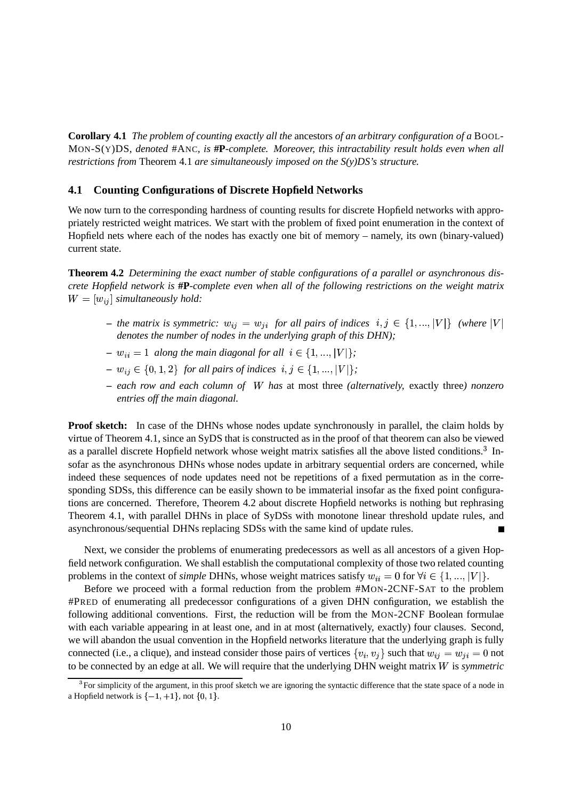**Corollary 4.1** *The problem of counting exactly all the* ancestors *of an arbitrary configuration of a* BOOL-MON-S(Y)DS*, denoted* #ANC*, is* **#P***-complete. Moreover, this intractability result holds even when all restrictions from* Theorem 4.1 *are simultaneously imposed on the S(y)DS's structure.*

#### **4.1 Counting Configurations of Discrete Hopfield Networks**

We now turn to the corresponding hardness of counting results for discrete Hopfield networks with appropriately restricted weight matrices. We start with the problem of fixed point enumeration in the context of Hopfield nets where each of the nodes has exactly one bit of memory – namely, its own (binary-valued) current state.

**Theorem 4.2** *Determining the exact number of stable configurations of a parallel or asynchronous discrete Hopfield network is* **#P***-complete even when all of the following restrictions on the weight matrix*  $W = [w_{ij}]$  simultaneously hold:

- $-$  the matrix is symmetric:  $w_{ij} = w_{ji}$  for all pairs of indices  $i, j \in \{1, ..., |V|\}$  (where  $|V|$ *denotes the number of nodes in the underlying graph of this DHN);*
- $w_{ii} = 1$  along the main diagonal for all  $i \in \{1, ..., |V|\};$
- $w_{ij} \in \{0, 1, 2\}$  for all pairs of indices  $i, j \in \{1, ..., |V|\};$
- **–** *each row and each column of has* at most three *(alternatively,* exactly three*) nonzero entries off the main diagonal.*

**Proof sketch:** In case of the DHNs whose nodes update synchronously in parallel, the claim holds by virtue of Theorem 4.1, since an SyDS that is constructed as in the proof of that theorem can also be viewed as a parallel discrete Hopfield network whose weight matrix satisfies all the above listed conditions.<sup>3</sup> Insofar as the asynchronous DHNs whose nodes update in arbitrary sequential orders are concerned, while indeed these sequences of node updates need not be repetitions of a fixed permutation as in the corresponding SDSs, this difference can be easily shown to be immaterial insofar as the fixed point configurations are concerned. Therefore, Theorem 4.2 about discrete Hopfield networks is nothing but rephrasing Theorem 4.1, with parallel DHNs in place of SyDSs with monotone linear threshold update rules, and asynchronous/sequential DHNs replacing SDSs with the same kind of update rules.

Next, we consider the problems of enumerating predecessors as well as all ancestors of a given Hopfield network configuration. We shall establish the computational complexity of those two related counting problems in the context of *simple* DHNs, whose weight matrices satisfy  $w_{ii} = 0$  for  $\forall i \in \{1, ..., |V|\}$ .

Before we proceed with a formal reduction from the problem #MON-2CNF-SAT to the problem #PRED of enumerating all predecessor configurations of a given DHN configuration, we establish the following additional conventions. First, the reduction will be from the MON-2CNF Boolean formulae with each variable appearing in at least one, and in at most (alternatively, exactly) four clauses. Second, we will abandon the usual convention in the Hopfield networks literature that the underlying graph is fully connected (i.e., a clique), and instead consider those pairs of vertices  $\{v_i, v_j\}$  such that  $w_{ij} = w_{ji} = 0$  not to be connected by an edge at all. We will require that the underlying DHN weight matrix is *symmetric*

 ${}^{3}$ For simplicity of the argument, in this proof sketch we are ignoring the syntactic difference that the state space of a node in a Hopfield network is  $\{-1, +1\}$ , not  $\{0, 1\}$ .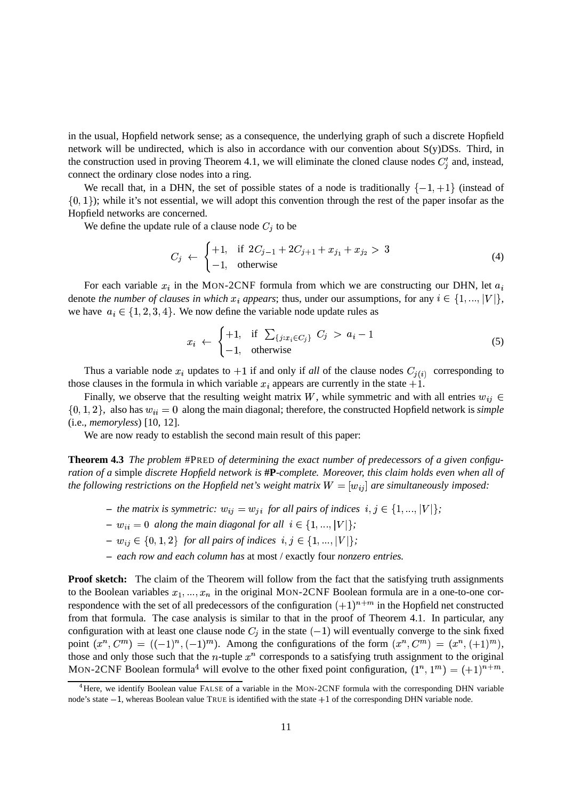in the usual, Hopfield network sense; as a consequence, the underlying graph of such a discrete Hopfield network will be undirected, which is also in accordance with our convention about S(y)DSs. Third, in the construction used in proving Theorem 4.1, we will eliminate the cloned clause nodes  $C_i'$  and, instead, connect the ordinary close nodes into a ring.

We recall that, in a DHN, the set of possible states of a node is traditionally  $\{-1, +1\}$  (instead of  $\{0, 1\}$ ); while it's not essential, we will adopt this convention through the rest of the paper insofar as the Hopfield networks are concerned.

We define the update rule of a clause node  $C_i$  to be

the contract of the contract of the contract of the contract of the contract of the contract of the contract of

$$
C_j \leftarrow \begin{cases} +1, & \text{if } 2C_{j-1} + 2C_{j+1} + x_{j_1} + x_{j_2} > 3 \\ -1, & \text{otherwise} \end{cases} \tag{4}
$$

For each variable  $x_i$  in the MON-2CNF formula from which we are constructing our DHN, let  $a_i$ denote *the number of clauses in which*  $x_i$  appears; thus, under our assumptions, for any  $i \in \{1, ..., |V|\}$ , we have  $a_i \in \{1, 2, 3, 4\}$ . We now define the variable node update rules as

$$
x_i \leftarrow \begin{cases} +1, & \text{if } \sum_{\{j: x_i \in C_j\}} C_j > a_i - 1 \\ -1, & \text{otherwise} \end{cases} \tag{5}
$$

Thus a variable node  $x_i$  updates to  $+1$  if and only if *all* of the clause nodes  $C_{j(i)}$  corresponding to those clauses in the formula in which variable  $x_i$  appears are currently in the state  $+1$ .

Finally, we observe that the resulting weight matrix W, while symmetric and with all entries  $w_{ij} \in$  $\{0, 1, 2\}$ , also has  $w_{ii} = 0$  along the main diagonal; therefore, the constructed Hopfield network is *simple* (i.e., *memoryless*) [10, 12].

We are now ready to establish the second main result of this paper:

**Theorem 4.3** *The problem* #PRED *of determining the exact number of predecessors of a given configuration of a* simple *discrete Hopfield network is* **#P***-complete. Moreover, this claim holds even when all of* the following restrictions on the Hopfield net's weight matrix  $W = [w_{ij}]$  are simultaneously imposed:

- the matrix is symmetric:  $w_{ij} = w_{ji}$  for all pairs of indices  $i, j \in \{1, ..., |V|\}$ ;
- $w_{ii} = 0$  along the main diagonal for all  $i \in \{1, ..., |V|\};$
- $w_{ij} \in \{0, 1, 2\}$  for all pairs of indices  $i, j \in \{1, ..., |V|\};$
- **–** *each row and each column has* at most / exactly four *nonzero entries.*

**Proof sketch:** The claim of the Theorem will follow from the fact that the satisfying truth assignments to the Boolean variables  $x_1, ..., x_n$  in the original MON-2CNF Boolean formula are in a one-to-one correspondence with the set of all predecessors of the configuration  $(+1)^{n+m}$  in the Hopfield net constructed from that formula. The case analysis is similar to that in the proof of Theorem 4.1. In particular, any configuration with at least one clause node  $C_i$  in the state  $(-1)$  will eventually converge to the sink fixed point  $(x^n, C^m) = ((-1)^n, (-1)^m)$ . Among the configurations of the form  $(x^n, C^m) = (x^n, (+1)^m)$ , those and only those such that the *n*-tuple  $x^n$  corresponds to a satisfying truth assignment to the original MON-2CNF Boolean formula<sup>4</sup> will evolve to the other fixed point configuration,  $(1^n, 1^m) = (+1)^{n+m}$ .

<sup>&</sup>lt;sup>4</sup>Here, we identify Boolean value FALSE of a variable in the MON-2CNF formula with the corresponding DHN variable node's state  $-1$ , whereas Boolean value TRUE is identified with the state  $+1$  of the corresponding DHN variable node.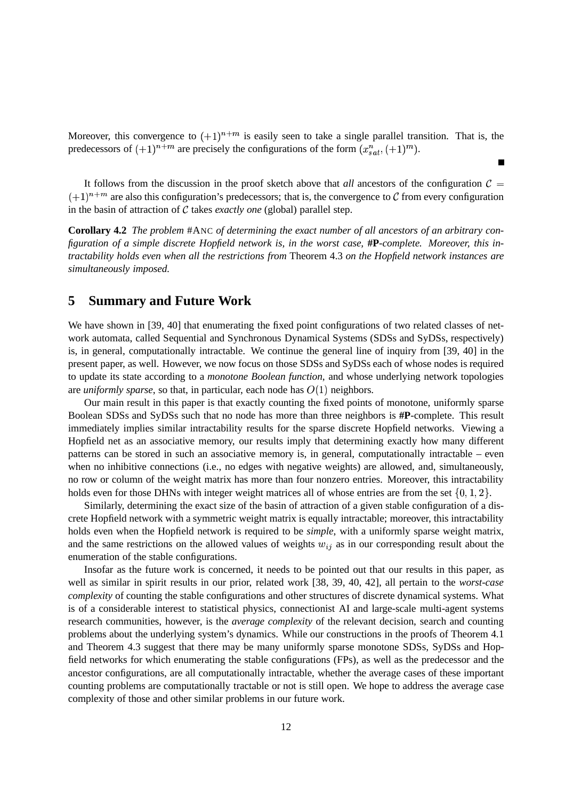Moreover, this convergence to  $(+1)^{n+m}$  is easily seen to take a single parallel transition. That is, the predecessors of  $(+1)^{n+m}$  are precisely the configurations of the form  $(x_{sat}^n, (+1)^m)$ .

It follows from the discussion in the proof sketch above that *all* ancestors of the configuration  $C =$  $(+1)^{n+m}$  are also this configuration's predecessors; that is, the convergence to C from every configuration in the basin of attraction of  $C$  takes *exactly one* (global) parallel step.

**Corollary 4.2** *The problem* #ANC *of determining the exact number of all ancestors of an arbitrary configuration of a simple discrete Hopfield network is, in the worst case,* **#P***-complete. Moreover, this intractability holds even when all the restrictions from* Theorem 4.3 *on the Hopfield network instances are simultaneously imposed.*

## **5 Summary and Future Work**

We have shown in [39, 40] that enumerating the fixed point configurations of two related classes of network automata, called Sequential and Synchronous Dynamical Systems (SDSs and SyDSs, respectively) is, in general, computationally intractable. We continue the general line of inquiry from [39, 40] in the present paper, as well. However, we now focus on those SDSs and SyDSs each of whose nodes is required to update its state according to a *monotone Boolean function*, and whose underlying network topologies are *uniformly sparse*, so that, in particular, each node has  $O(1)$  neighbors.

Our main result in this paper is that exactly counting the fixed points of monotone, uniformly sparse Boolean SDSs and SyDSs such that no node has more than three neighbors is **#P**-complete. This result immediately implies similar intractability results for the sparse discrete Hopfield networks. Viewing a Hopfield net as an associative memory, our results imply that determining exactly how many different patterns can be stored in such an associative memory is, in general, computationally intractable – even when no inhibitive connections (i.e., no edges with negative weights) are allowed, and, simultaneously, no row or column of the weight matrix has more than four nonzero entries. Moreover, this intractability holds even for those DHNs with integer weight matrices all of whose entries are from the set  $\{0, 1, 2\}$ .

Similarly, determining the exact size of the basin of attraction of a given stable configuration of a discrete Hopfield network with a symmetric weight matrix is equally intractable; moreover, this intractability holds even when the Hopfield network is required to be *simple*, with a uniformly sparse weight matrix, and the same restrictions on the allowed values of weights  $w_{ij}$  as in our corresponding result about the enumeration of the stable configurations.

Insofar as the future work is concerned, it needs to be pointed out that our results in this paper, as well as similar in spirit results in our prior, related work [38, 39, 40, 42], all pertain to the *worst-case complexity* of counting the stable configurations and other structures of discrete dynamical systems. What is of a considerable interest to statistical physics, connectionist AI and large-scale multi-agent systems research communities, however, is the *average complexity* of the relevant decision, search and counting problems about the underlying system's dynamics. While our constructions in the proofs of Theorem 4.1 and Theorem 4.3 suggest that there may be many uniformly sparse monotone SDSs, SyDSs and Hopfield networks for which enumerating the stable configurations (FPs), as well as the predecessor and the ancestor configurations, are all computationally intractable, whether the average cases of these important counting problems are computationally tractable or not is still open. We hope to address the average case complexity of those and other similar problems in our future work.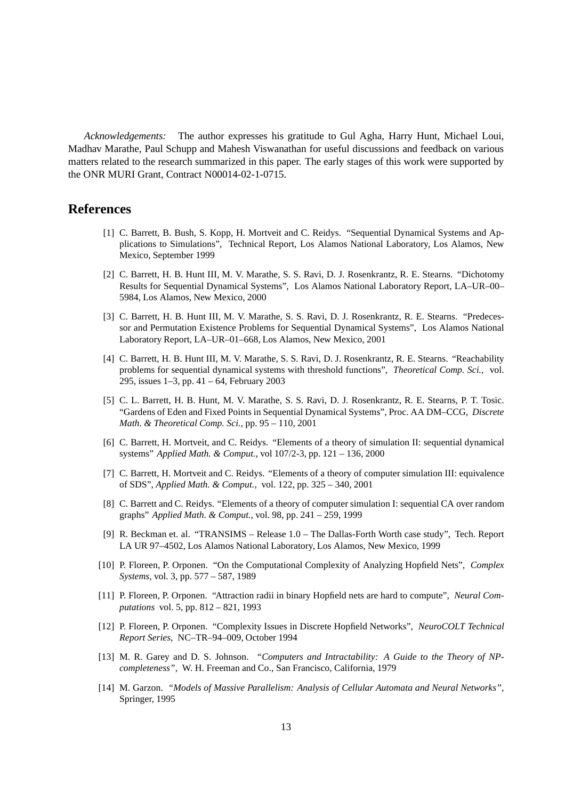*Acknowledgements:* The author expresses his gratitude to Gul Agha, Harry Hunt, Michael Loui, Madhav Marathe, Paul Schupp and Mahesh Viswanathan for useful discussions and feedback on various matters related to the research summarized in this paper. The early stages of this work were supported by the ONR MURI Grant, Contract N00014-02-1-0715.

#### **References**

- [1] C. Barrett, B. Bush, S. Kopp, H. Mortveit and C. Reidys. "Sequential Dynamical Systems and Applications to Simulations", Technical Report, Los Alamos National Laboratory, Los Alamos, New Mexico, September 1999
- [2] C. Barrett, H. B. Hunt III, M. V. Marathe, S. S. Ravi, D. J. Rosenkrantz, R. E. Stearns. "Dichotomy Results for Sequential Dynamical Systems", Los Alamos National Laboratory Report, LA–UR–00– 5984, Los Alamos, New Mexico, 2000
- [3] C. Barrett, H. B. Hunt III, M. V. Marathe, S. S. Ravi, D. J. Rosenkrantz, R. E. Stearns. "Predecessor and Permutation Existence Problems for Sequential Dynamical Systems", Los Alamos National Laboratory Report, LA–UR–01–668, Los Alamos, New Mexico, 2001
- [4] C. Barrett, H. B. Hunt III, M. V. Marathe, S. S. Ravi, D. J. Rosenkrantz, R. E. Stearns. "Reachability problems for sequential dynamical systems with threshold functions", *Theoretical Comp. Sci.,* vol. 295, issues 1–3, pp. 41 – 64, February 2003
- [5] C. L. Barrett, H. B. Hunt, M. V. Marathe, S. S. Ravi, D. J. Rosenkrantz, R. E. Stearns, P. T. Tosic. "Gardens of Eden and Fixed Points in Sequential Dynamical Systems", Proc. AA DM–CCG, *Discrete Math. & Theoretical Comp. Sci.*, pp. 95 – 110, 2001
- [6] C. Barrett, H. Mortveit, and C. Reidys. "Elements of a theory of simulation II: sequential dynamical systems" *Applied Math. & Comput.*, vol 107/2-3, pp. 121 – 136, 2000
- [7] C. Barrett, H. Mortveit and C. Reidys. "Elements of a theory of computer simulation III: equivalence of SDS", *Applied Math. & Comput.,* vol. 122, pp. 325 – 340, 2001
- [8] C. Barrett and C. Reidys. "Elements of a theory of computer simulation I: sequential CA over random graphs" *Applied Math. & Comput.*, vol. 98, pp. 241 – 259, 1999
- [9] R. Beckman et. al. "TRANSIMS Release 1.0 The Dallas-Forth Worth case study", Tech. Report LA UR 97–4502, Los Alamos National Laboratory, Los Alamos, New Mexico, 1999
- [10] P. Floreen, P. Orponen. "On the Computational Complexity of Analyzing Hopfield Nets", *Complex Systems*, vol. 3, pp. 577 – 587, 1989
- [11] P. Floreen, P. Orponen. "Attraction radii in binary Hopfield nets are hard to compute", *Neural Computations* vol. 5, pp. 812 – 821, 1993
- [12] P. Floreen, P. Orponen. "Complexity Issues in Discrete Hopfield Networks", *NeuroCOLT Technical Report Series,* NC–TR–94–009, October 1994
- [13] M. R. Garey and D. S. Johnson. *"Computers and Intractability: A Guide to the Theory of NPcompleteness",* W. H. Freeman and Co., San Francisco, California, 1979
- [14] M. Garzon. *"Models of Massive Parallelism: Analysis of Cellular Automata and Neural Networks",* Springer, 1995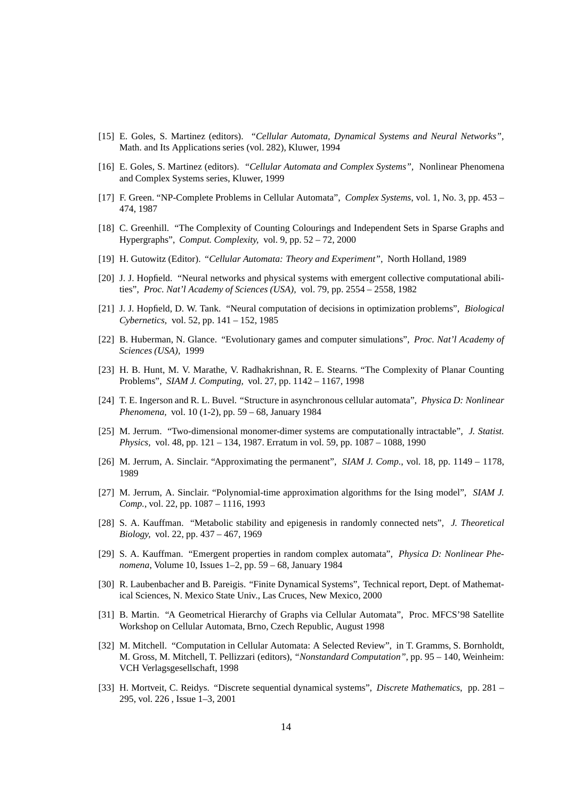- [15] E. Goles, S. Martinez (editors). *"Cellular Automata, Dynamical Systems and Neural Networks",* Math. and Its Applications series (vol. 282), Kluwer, 1994
- [16] E. Goles, S. Martinez (editors). *"Cellular Automata and Complex Systems",* Nonlinear Phenomena and Complex Systems series, Kluwer, 1999
- [17] F. Green. "NP-Complete Problems in Cellular Automata", *Complex Systems*, vol. 1, No. 3, pp. 453 474, 1987
- [18] C. Greenhill. "The Complexity of Counting Colourings and Independent Sets in Sparse Graphs and Hypergraphs", *Comput. Complexity,* vol. 9, pp. 52 – 72, 2000
- [19] H. Gutowitz (Editor). *"Cellular Automata: Theory and Experiment"*, North Holland, 1989
- [20] J. J. Hopfield. "Neural networks and physical systems with emergent collective computational abilities", *Proc. Nat'l Academy of Sciences (USA),* vol. 79, pp. 2554 – 2558, 1982
- [21] J. J. Hopfield, D. W. Tank. "Neural computation of decisions in optimization problems", *Biological Cybernetics,* vol. 52, pp. 141 – 152, 1985
- [22] B. Huberman, N. Glance. "Evolutionary games and computer simulations", *Proc. Nat'l Academy of Sciences (USA),* 1999
- [23] H. B. Hunt, M. V. Marathe, V. Radhakrishnan, R. E. Stearns. "The Complexity of Planar Counting Problems", *SIAM J. Computing,* vol. 27, pp. 1142 – 1167, 1998
- [24] T. E. Ingerson and R. L. Buvel. "Structure in asynchronous cellular automata", *Physica D: Nonlinear Phenomena,* vol. 10 (1-2), pp. 59 – 68, January 1984
- [25] M. Jerrum. "Two-dimensional monomer-dimer systems are computationally intractable", *J. Statist. Physics,* vol. 48, pp. 121 – 134, 1987. Erratum in vol. 59, pp. 1087 – 1088, 1990
- [26] M. Jerrum, A. Sinclair. "Approximating the permanent", *SIAM J. Comp.*, vol. 18, pp. 1149 1178, 1989
- [27] M. Jerrum, A. Sinclair. "Polynomial-time approximation algorithms for the Ising model", *SIAM J. Comp.*, vol. 22, pp. 1087 – 1116, 1993
- [28] S. A. Kauffman. "Metabolic stability and epigenesis in randomly connected nets", *J. Theoretical Biology,* vol. 22, pp. 437 – 467, 1969
- [29] S. A. Kauffman. "Emergent properties in random complex automata", *Physica D: Nonlinear Phenomena*, Volume 10, Issues 1–2, pp. 59 – 68, January 1984
- [30] R. Laubenbacher and B. Pareigis. "Finite Dynamical Systems", Technical report, Dept. of Mathematical Sciences, N. Mexico State Univ., Las Cruces, New Mexico, 2000
- [31] B. Martin. "A Geometrical Hierarchy of Graphs via Cellular Automata", Proc. MFCS'98 Satellite Workshop on Cellular Automata, Brno, Czech Republic, August 1998
- [32] M. Mitchell. "Computation in Cellular Automata: A Selected Review", in T. Gramms, S. Bornholdt, M. Gross, M. Mitchell, T. Pellizzari (editors), *"Nonstandard Computation"*, pp. 95 – 140, Weinheim: VCH Verlagsgesellschaft, 1998
- [33] H. Mortveit, C. Reidys. "Discrete sequential dynamical systems", *Discrete Mathematics*, pp. 281 295, vol. 226 , Issue 1–3, 2001